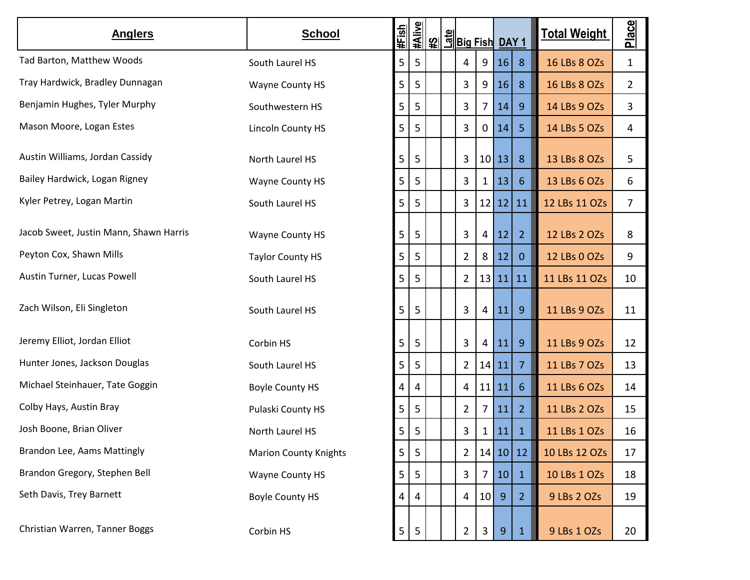| <b>Anglers</b>                         | <b>School</b>                | #Fish          | #Alive         |  | <u>မြို့ မြို့၊ မြို့၊ မြို့၊ မြို့၊ မြို့၊ မြို့၊ မြို့၊ မြို့၊ မြို့၊ မြို့၊ မြို့၊ မြို့၊ မြို့၊ မြို့၊ မြို့၊</u> |                 |       |                | <b>Total Weight</b> | Place          |
|----------------------------------------|------------------------------|----------------|----------------|--|-----------------------------------------------------------------------------------------------------------------------|-----------------|-------|----------------|---------------------|----------------|
| Tad Barton, Matthew Woods              | South Laurel HS              | 5              | 5              |  | 4                                                                                                                     | 9               | 16    | 8              | 16 LBs 8 OZs        | $\mathbf{1}$   |
| Tray Hardwick, Bradley Dunnagan        | Wayne County HS              | 5              | 5              |  | 3                                                                                                                     | 9               | 16    | 8              | 16 LBs 8 OZs        | $\overline{2}$ |
| Benjamin Hughes, Tyler Murphy          | Southwestern HS              | 5              | 5              |  | 3                                                                                                                     | 7 <sup>1</sup>  | 14    | $\overline{9}$ | 14 LBs 9 OZs        | 3              |
| Mason Moore, Logan Estes               | Lincoln County HS            | 5              | 5              |  | 3                                                                                                                     | 0               | 14    | 5              | 14 LBs 5 OZs        | 4              |
| Austin Williams, Jordan Cassidy        | North Laurel HS              | 5              | 5              |  | 3                                                                                                                     |                 | 10 13 | 8              | 13 LBs 8 OZs        | 5              |
| Bailey Hardwick, Logan Rigney          | Wayne County HS              | 5              | 5              |  | 3                                                                                                                     | 1               | 13    | 6              | 13 LBs 6 OZs        | 6              |
| Kyler Petrey, Logan Martin             | South Laurel HS              | 5              | 5              |  | 3                                                                                                                     | 12 <sup>1</sup> | 12    | 11             | 12 LBs 11 OZs       | $\overline{7}$ |
| Jacob Sweet, Justin Mann, Shawn Harris | Wayne County HS              | 5              | 5              |  | 3                                                                                                                     | 4               | 12    | $\overline{2}$ | 12 LBs 2 OZs        | 8              |
| Peyton Cox, Shawn Mills                | <b>Taylor County HS</b>      | 5              | 5              |  | 2                                                                                                                     | 8               | 12    | $\mathbf{0}$   | 12 LBs 0 OZs        | 9              |
| Austin Turner, Lucas Powell            | South Laurel HS              | 5              | 5              |  | $\overline{2}$                                                                                                        | 13 <sup>1</sup> | 11    | 11             | 11 LBs 11 OZs       | 10             |
| Zach Wilson, Eli Singleton             | South Laurel HS              | 5              | 5              |  | 3                                                                                                                     | 4               | 11    | $\overline{9}$ | 11 LBs 9 OZs        | 11             |
| Jeremy Elliot, Jordan Elliot           | Corbin HS                    | 5              | 5              |  | 3                                                                                                                     | 4               | 11    | $\overline{9}$ | 11 LBs 9 OZs        | 12             |
| Hunter Jones, Jackson Douglas          | South Laurel HS              | 5              | 5              |  | 2                                                                                                                     | 14              | 11    | $\overline{7}$ | 11 LBs 7 OZs        | 13             |
| Michael Steinhauer, Tate Goggin        | <b>Boyle County HS</b>       | 4              | 4              |  | 4                                                                                                                     | 11              | 11    | 6              | 11 LBs 6 OZs        | 14             |
| Colby Hays, Austin Bray                | Pulaski County HS            | 5              | 5              |  | 2                                                                                                                     | 7               | 11    | $\overline{2}$ | 11 LBs 2 OZs        | 15             |
| Josh Boone, Brian Oliver               | North Laurel HS              | 5 <sub>1</sub> | 5              |  | 3                                                                                                                     | 1               | 11    | 1              | 11 LBs 1 OZs        | 16             |
| Brandon Lee, Aams Mattingly            | <b>Marion County Knights</b> | $\mathsf S$    | 5              |  | $\overline{2}$                                                                                                        | 14              |       | 10 12          | 10 LBs 12 OZs       | 17             |
| Brandon Gregory, Stephen Bell          | Wayne County HS              | 5              | 5              |  | 3                                                                                                                     | 7               | 10    | $\mathbf{1}$   | 10 LBs 1 OZs        | 18             |
| Seth Davis, Trey Barnett               | <b>Boyle County HS</b>       | $\overline{4}$ | 4              |  | 4                                                                                                                     | 10              | 9     | $\overline{2}$ | 9 LBs 2 OZs         | 19             |
| Christian Warren, Tanner Boggs         | Corbin HS                    | 5 <sup>1</sup> | $\overline{5}$ |  | 2                                                                                                                     | 3               | 9     | $\mathbf{1}$   | 9 LBs 1 OZs         | 20             |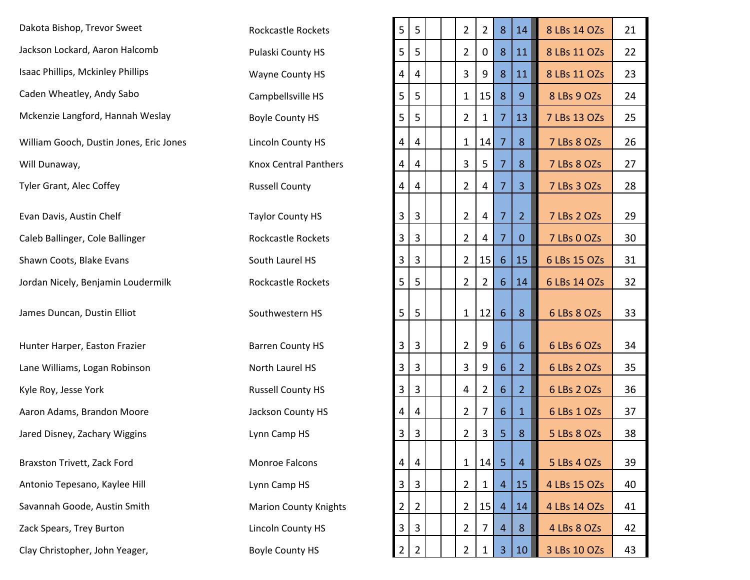| Dakota Bishop, Trevor Sweet             | <b>Rockcastle Rockets</b>    | $\mathsf S$ | 5 | $\overline{2}$ | $\overline{2}$ | 8              | 14             | 8 LBs 14 OZs | 21 |
|-----------------------------------------|------------------------------|-------------|---|----------------|----------------|----------------|----------------|--------------|----|
| Jackson Lockard, Aaron Halcomb          | Pulaski County HS            | 5           | 5 | $\overline{2}$ | 0              | 8              | 11             | 8 LBs 11 OZs | 22 |
| Isaac Phillips, Mckinley Phillips       | Wayne County HS              | 4           | 4 | 3              | 9              | 8              | 11             | 8 LBs 11 OZs | 23 |
| Caden Wheatley, Andy Sabo               | Campbellsville HS            | 5           | 5 | $\mathbf{1}$   | 15             | 8              | 9              | 8 LBs 9 OZs  | 24 |
| Mckenzie Langford, Hannah Weslay        | <b>Boyle County HS</b>       | 5           | 5 | $\overline{2}$ | 1              | 7              | 13             | 7 LBs 13 OZs | 25 |
| William Gooch, Dustin Jones, Eric Jones | <b>Lincoln County HS</b>     | 4           | 4 | $\mathbf{1}$   | 14             | 7              | 8              | 7 LBs 8 OZs  | 26 |
| Will Dunaway,                           | <b>Knox Central Panthers</b> | 4           | 4 | 3              | 5              | 7              | 8              | 7 LBs 8 OZs  | 27 |
| <b>Tyler Grant, Alec Coffey</b>         | <b>Russell County</b>        | 4           | 4 | $\overline{2}$ | 4              | 7              | 3 <sup>1</sup> | 7 LBs 3 OZs  | 28 |
| Evan Davis, Austin Chelf                | <b>Taylor County HS</b>      | 3           | 3 | $\overline{2}$ | 4              | 7              | $\overline{2}$ | 7 LBs 2 OZs  | 29 |
| Caleb Ballinger, Cole Ballinger         | Rockcastle Rockets           | 3           | 3 | $\overline{2}$ | 4              | 7              | $\mathbf{0}$   | 7 LBs 0 OZs  | 30 |
| Shawn Coots, Blake Evans                | South Laurel HS              | 3           | 3 | $\overline{2}$ | 15             | $6^{\circ}$    | 15             | 6 LBs 15 OZs | 31 |
| Jordan Nicely, Benjamin Loudermilk      | Rockcastle Rockets           | 5           | 5 | $\overline{2}$ | 2              | 6              | 14             | 6 LBs 14 OZs | 32 |
| James Duncan, Dustin Elliot             | Southwestern HS              | 5           | 5 | $\mathbf{1}$   | 12             | 6              | 8              | 6 LBs 8 OZs  | 33 |
| Hunter Harper, Easton Frazier           | <b>Barren County HS</b>      | 3           | 3 | $\overline{2}$ | 9              | $6^{\circ}$    | 6              | 6 LBs 6 OZs  | 34 |
| Lane Williams, Logan Robinson           | North Laurel HS              | 3           | 3 | 3              | 9              | $6^{\circ}$    | 2 <sup>2</sup> | 6 LBs 2 OZs  | 35 |
| Kyle Roy, Jesse York                    | <b>Russell County HS</b>     | 3           | 3 | 4              | 2              | 6              | $\overline{2}$ | 6 LBs 2 OZs  | 36 |
| Aaron Adams, Brandon Moore              | Jackson County HS            | 4           | 4 | $\overline{2}$ | 7              | 6              | $\mathbf{1}$   | 6 LBs 1 OZs  | 37 |
| Jared Disney, Zachary Wiggins           | Lynn Camp HS                 | 3           | 3 | 2              | 3              | 5.             | 8              | 5 LBs 8 OZs  | 38 |
| Braxston Trivett, Zack Ford             | Monroe Falcons               | 4           | 4 | $\mathbf{1}$   | 14             | 5 <sub>1</sub> | $\overline{4}$ | 5 LBs 4 OZs  | 39 |
| Antonio Tepesano, Kaylee Hill           | Lynn Camp HS                 | 3           | 3 | $\overline{2}$ | 1              | 4              | 15             | 4 LBs 15 OZs | 40 |
| Savannah Goode, Austin Smith            | <b>Marion County Knights</b> | 2           | 2 | $\overline{2}$ | 15             | 4              | 14             | 4 LBs 14 OZs | 41 |
| Zack Spears, Trey Burton                | <b>Lincoln County HS</b>     | 3           | 3 | $\overline{2}$ |                | 4              | 8              | 4 LBs 8 OZs  | 42 |
| Clay Christopher, John Yeager.          | <b>Boyle County HS</b>       |             |   |                |                |                |                | 3 LBs 10 OZs | 43 |

| Dakota Bishop, Trevor Sweet             | Rockcastle Rockets           | 5              | 5              |  | $\overline{2}$ | 2        | 8              | 14             | 8 LBs 14 OZs | 21 |
|-----------------------------------------|------------------------------|----------------|----------------|--|----------------|----------|----------------|----------------|--------------|----|
| Jackson Lockard, Aaron Halcomb          | Pulaski County HS            | 5              | 5              |  | $\overline{2}$ | $\bf{0}$ | 8              | 11             | 8 LBs 11 OZs | 22 |
| Isaac Phillips, Mckinley Phillips       | Wayne County HS              | 4              | 4              |  | 3              | 9        | 8              | 11             | 8 LBs 11 OZs | 23 |
| Caden Wheatley, Andy Sabo               | Campbellsville HS            | 5              | 5              |  | $\mathbf{1}$   | 15       | 8              | 9              | 8 LBs 9 OZs  | 24 |
| Mckenzie Langford, Hannah Weslay        | <b>Boyle County HS</b>       | 5              | 5              |  | $\overline{2}$ | 1        | 7              | 13             | 7 LBs 13 OZs | 25 |
| William Gooch, Dustin Jones, Eric Jones | <b>Lincoln County HS</b>     | 4              | 4              |  | $\mathbf{1}$   | 14       | 7              | 8              | 7 LBs 8 OZs  | 26 |
| Will Dunaway,                           | <b>Knox Central Panthers</b> | 4              | 4              |  | 3              | 5        |                | 8              | 7 LBs 8 OZs  | 27 |
| Tyler Grant, Alec Coffey                | <b>Russell County</b>        | 4              | 4              |  | $\overline{2}$ | 4        | 7              | 3 <sup>1</sup> | 7 LBs 3 OZs  | 28 |
| Evan Davis, Austin Chelf                | <b>Taylor County HS</b>      | 3              | 3              |  | $\overline{2}$ | 4        | $\overline{7}$ | $\overline{2}$ | 7 LBs 2 OZs  | 29 |
| Caleb Ballinger, Cole Ballinger         | Rockcastle Rockets           | 3              | 3              |  | $\overline{2}$ | 4        | 7              | $\mathbf{0}$   | 7 LBs 0 OZs  | 30 |
| Shawn Coots, Blake Evans                | South Laurel HS              | 3              | 3              |  | $\overline{2}$ | 15       | 6              | 15             | 6 LBs 15 OZs | 31 |
| Jordan Nicely, Benjamin Loudermilk      | Rockcastle Rockets           | 5              | 5              |  | $\overline{2}$ | 2        | 6              | 14             | 6 LBs 14 OZs | 32 |
| James Duncan, Dustin Elliot             | Southwestern HS              | 5 <sup>1</sup> | 5              |  |                | 1   12   | 6              | 8              | 6 LBs 8 OZs  | 33 |
|                                         |                              |                |                |  |                |          |                |                |              |    |
| Hunter Harper, Easton Frazier           | <b>Barren County HS</b>      | 3 <sup>1</sup> | $\overline{3}$ |  | $\overline{2}$ | 9        | 6              | 6              | 6 LBs 6 OZs  | 34 |
| Lane Williams, Logan Robinson           | North Laurel HS              | 3              | 3              |  | 3              | 9        | 6              | 2 <sup>1</sup> | 6 LBs 2 OZs  | 35 |
| Kyle Roy, Jesse York                    | <b>Russell County HS</b>     | 3              | 3              |  | 4              | 2        | 6              | 2 <sup>1</sup> | 6 LBs 2 OZs  | 36 |
| Aaron Adams, Brandon Moore              | Jackson County HS            | 4              | 4              |  | $\overline{2}$ | 7        | 6              | 1              | 6 LBs 1 OZs  | 37 |
| Jared Disney, Zachary Wiggins           | Lynn Camp HS                 | $\mathbf{3}$   | $\overline{3}$ |  | $\overline{2}$ | 3        | 5 <sub>o</sub> | 8              | 5 LBs 8 OZs  | 38 |
| Braxston Trivett, Zack Ford             | Monroe Falcons               | 4              | 4              |  | $\mathbf{1}$   | 14       | $\overline{5}$ | $\overline{4}$ | 5 LBs 4 OZs  | 39 |
| Antonio Tepesano, Kaylee Hill           | Lynn Camp HS                 | 3              | 3              |  | 2              | 1        | 4              | 15             | 4 LBs 15 OZs | 40 |
| Savannah Goode, Austin Smith            | <b>Marion County Knights</b> | 2              | 2              |  | $\overline{2}$ | 15       | $\overline{4}$ | 14             | 4 LBs 14 OZs | 41 |
| Zack Spears, Trey Burton                | <b>Lincoln County HS</b>     | 3              | 3              |  | $\overline{2}$ | 7        | 4              | 8              | 4 LBs 8 OZs  | 42 |
| Clay Christopher, John Yeager,          | <b>Boyle County HS</b>       | 2              | $\overline{2}$ |  | 2              | 1        | 3              | 10             | 3 LBs 10 OZs | 43 |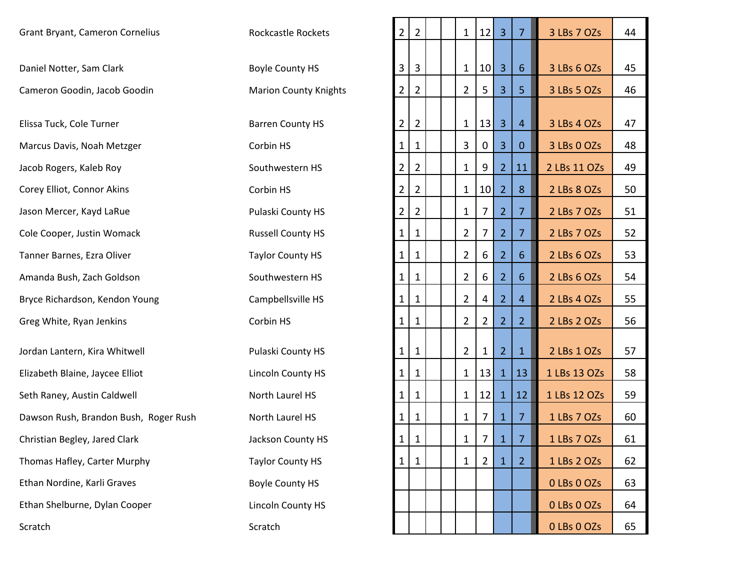| Grant Bryant, Cameron Cornelius       | <b>Rockcastle Rockets</b>    | $\overline{2}$ | $\overline{2}$ | $\mathbf{1}$   | 12             | $\overline{3}$ | $\overline{7}$ | 3 LBs 7 OZs  | 44 |
|---------------------------------------|------------------------------|----------------|----------------|----------------|----------------|----------------|----------------|--------------|----|
|                                       |                              |                |                |                |                |                |                |              |    |
| Daniel Notter, Sam Clark              | <b>Boyle County HS</b>       | 3 <sup>1</sup> | 3              | $\mathbf{1}$   | 10             | $\overline{3}$ | 6              | 3 LBs 6 OZs  | 45 |
| Cameron Goodin, Jacob Goodin          | <b>Marion County Knights</b> | 2              | $\overline{2}$ | $\overline{2}$ | 5.             | $\overline{3}$ | 5              | 3 LBs 5 OZs  | 46 |
|                                       |                              |                |                |                |                |                |                |              |    |
| Elissa Tuck, Cole Turner              | <b>Barren County HS</b>      | $\overline{2}$ | $\overline{2}$ | $\mathbf{1}$   | 13             | $\overline{3}$ | 4              | 3 LBs 4 OZs  | 47 |
| Marcus Davis, Noah Metzger            | Corbin HS                    | 1              | 1              | 3              | $\mathbf 0$    | $\overline{3}$ | $\mathbf{0}$   | 3 LBs 0 OZs  | 48 |
| Jacob Rogers, Kaleb Roy               | Southwestern HS              | 2              | $\overline{2}$ | 1              | 9              | $\overline{2}$ | 11             | 2 LBs 11 OZs | 49 |
| Corey Elliot, Connor Akins            | Corbin HS                    | 2              | $\overline{2}$ | 1              | 10             | $\overline{2}$ | 8              | 2 LBs 8 OZs  | 50 |
| Jason Mercer, Kayd LaRue              | Pulaski County HS            | 2              | $\overline{2}$ | $\mathbf{1}$   | 7              | $\overline{2}$ | $\overline{7}$ | 2 LBs 7 OZs  | 51 |
| Cole Cooper, Justin Womack            | <b>Russell County HS</b>     | 1              | 1              | 2              | 7              | $\overline{2}$ | $\overline{7}$ | 2 LBs 7 OZs  | 52 |
| Tanner Barnes, Ezra Oliver            | <b>Taylor County HS</b>      | $\mathbf{1}$   | 1              | 2              | 6              | $\overline{2}$ | 6              | 2 LBs 6 OZs  | 53 |
| Amanda Bush, Zach Goldson             | Southwestern HS              | 1              | 1              | $\overline{2}$ | 6              | $\overline{2}$ | 6              | 2 LBs 6 OZs  | 54 |
| Bryce Richardson, Kendon Young        | Campbellsville HS            | 1              | $\mathbf{1}$   | 2              | 4              | $\overline{2}$ | 4              | 2 LBs 4 OZs  | 55 |
| Greg White, Ryan Jenkins              | Corbin HS                    | $\mathbf{1}$   | $\mathbf{1}$   | 2              | 2              | $\overline{2}$ | $\overline{2}$ | 2 LBs 2 OZs  | 56 |
| Jordan Lantern, Kira Whitwell         | Pulaski County HS            | 1              | $\mathbf{1}$   | $\overline{2}$ | 1              | 2 <sup>1</sup> | $\mathbf{1}$   | 2 LBs 1 OZs  | 57 |
| Elizabeth Blaine, Jaycee Elliot       | Lincoln County HS            | 1              | 1              | $\mathbf{1}$   | 13             | $\mathbf 1$    | 13             | 1 LBs 13 OZs | 58 |
| Seth Raney, Austin Caldwell           | North Laurel HS              | 1              | 1              | 1              | 12             | $\mathbf{1}$   | 12             | 1 LBs 12 OZs | 59 |
| Dawson Rush, Brandon Bush, Roger Rush | North Laurel HS              | $\mathbf{1}$   | $\mathbf{1}$   | 1              | 7              | $\mathbf{1}$   | $\overline{7}$ | 1 LBs 7 OZs  | 60 |
| Christian Begley, Jared Clark         | Jackson County HS            | $1\vert$       | $\mathbf{1}$   | $\mathbf{1}$   | 7 <sup>1</sup> | $\mathbf{1}$   | 7              | 1 LBs 7 OZs  | 61 |
| Thomas Hafley, Carter Murphy          | <b>Taylor County HS</b>      | $\mathbf{1}$   | $\mathbf{1}$   | 1              | $\overline{2}$ | $\mathbf{1}$   | $\overline{2}$ | 1 LBs 2 OZs  | 62 |
| Ethan Nordine, Karli Graves           | <b>Boyle County HS</b>       |                |                |                |                |                |                | 0 LBs 0 OZs  | 63 |
| Ethan Shelburne, Dylan Cooper         | Lincoln County HS            |                |                |                |                |                |                | 0 LBs 0 OZs  | 64 |
| Scratch                               | Scratch                      |                |                |                |                |                |                | 0 LBs 0 OZs  | 65 |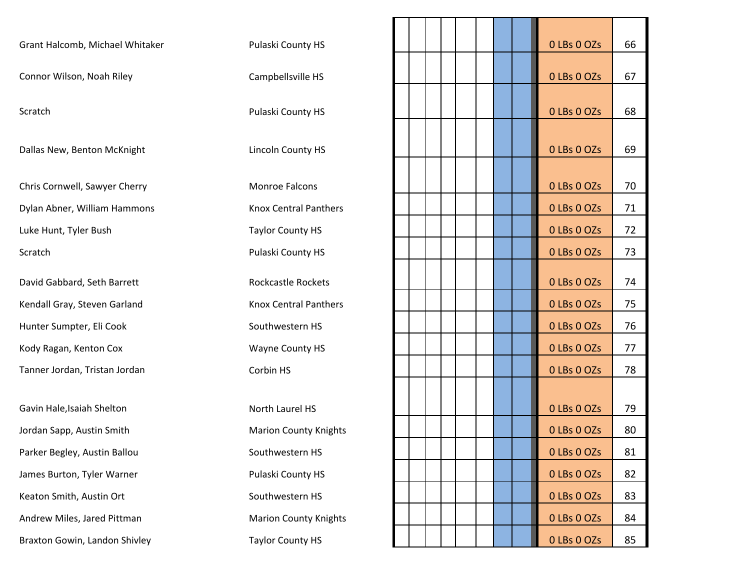| Pulaski County HS            |                   |             | 66                         |
|------------------------------|-------------------|-------------|----------------------------|
| Campbellsville HS            |                   | 0 LBs 0 OZs | 67                         |
|                              |                   |             |                            |
|                              |                   |             | 68                         |
| Lincoln County HS            |                   | 0 LBs 0 OZs | 69                         |
|                              |                   |             |                            |
| <b>Monroe Falcons</b>        |                   | 0 LBs 0 OZs | 70                         |
| <b>Knox Central Panthers</b> |                   | 0 LBs 0 OZs | 71                         |
| <b>Taylor County HS</b>      |                   | 0 LBs 0 OZs | 72                         |
| Pulaski County HS            |                   | 0 LBs 0 OZs | 73                         |
| <b>Rockcastle Rockets</b>    |                   | 0 LBs 0 OZs | 74                         |
| <b>Knox Central Panthers</b> |                   | 0 LBs 0 OZs | 75                         |
| Southwestern HS              |                   | 0 LBs 0 OZs | 76                         |
| Wayne County HS              |                   | 0 LBs 0 OZs | 77                         |
| Corbin HS                    |                   | 0 LBs 0 OZs | 78                         |
|                              |                   |             |                            |
| North Laurel HS              |                   | 0 LBs 0 OZs | 79                         |
| <b>Marion County Knights</b> |                   | 0 LBs 0 OZs | 80                         |
| Southwestern HS              |                   | 0 LBs 0 OZs | 81                         |
| Pulaski County HS            |                   | 0 LBs 0 OZs | 82                         |
| Southwestern HS              |                   | 0 LBs 0 OZs | 83                         |
| <b>Marion County Knights</b> |                   | 0 LBs 0 OZs | 84                         |
| <b>Taylor County HS</b>      |                   | 0 LBs 0 OZs | 85                         |
|                              | Pulaski County HS |             | 0 LBs 0 OZs<br>0 LBs 0 OZs |